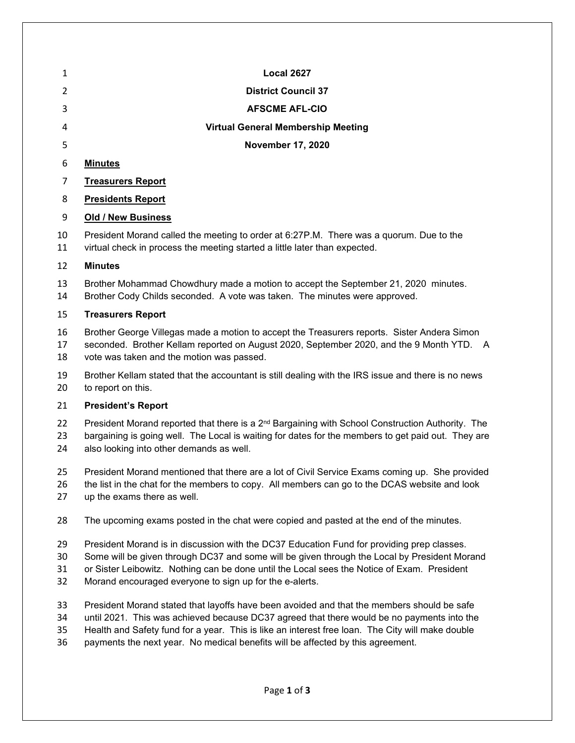| 1                    | <b>Local 2627</b>                                                                                                                                                                                                                                                                                                                                    |
|----------------------|------------------------------------------------------------------------------------------------------------------------------------------------------------------------------------------------------------------------------------------------------------------------------------------------------------------------------------------------------|
| 2                    | <b>District Council 37</b>                                                                                                                                                                                                                                                                                                                           |
| 3                    | <b>AFSCME AFL-CIO</b>                                                                                                                                                                                                                                                                                                                                |
| 4                    | <b>Virtual General Membership Meeting</b>                                                                                                                                                                                                                                                                                                            |
| 5                    | <b>November 17, 2020</b>                                                                                                                                                                                                                                                                                                                             |
| 6                    | <b>Minutes</b>                                                                                                                                                                                                                                                                                                                                       |
| $\overline{7}$       | <b>Treasurers Report</b>                                                                                                                                                                                                                                                                                                                             |
| 8                    | <b>Presidents Report</b>                                                                                                                                                                                                                                                                                                                             |
| 9                    | <b>Old / New Business</b>                                                                                                                                                                                                                                                                                                                            |
| 10<br>11             | President Morand called the meeting to order at 6:27P.M. There was a quorum. Due to the<br>virtual check in process the meeting started a little later than expected.                                                                                                                                                                                |
| 12                   | <b>Minutes</b>                                                                                                                                                                                                                                                                                                                                       |
| 13<br>14             | Brother Mohammad Chowdhury made a motion to accept the September 21, 2020 minutes.<br>Brother Cody Childs seconded. A vote was taken. The minutes were approved.                                                                                                                                                                                     |
| 15                   | <b>Treasurers Report</b>                                                                                                                                                                                                                                                                                                                             |
| 16<br>17<br>18       | Brother George Villegas made a motion to accept the Treasurers reports. Sister Andera Simon<br>seconded. Brother Kellam reported on August 2020, September 2020, and the 9 Month YTD. A<br>vote was taken and the motion was passed.                                                                                                                 |
| 19<br>20             | Brother Kellam stated that the accountant is still dealing with the IRS issue and there is no news<br>to report on this.                                                                                                                                                                                                                             |
| 21                   | <b>President's Report</b>                                                                                                                                                                                                                                                                                                                            |
| 22<br>23<br>24       | President Morand reported that there is a 2 <sup>nd</sup> Bargaining with School Construction Authority. The<br>bargaining is going well. The Local is waiting for dates for the members to get paid out. They are<br>also looking into other demands as well.                                                                                       |
| 25<br>26<br>27       | President Morand mentioned that there are a lot of Civil Service Exams coming up. She provided<br>the list in the chat for the members to copy. All members can go to the DCAS website and look<br>up the exams there as well.                                                                                                                       |
| 28                   | The upcoming exams posted in the chat were copied and pasted at the end of the minutes.                                                                                                                                                                                                                                                              |
| 29<br>30<br>31<br>32 | President Morand is in discussion with the DC37 Education Fund for providing prep classes.<br>Some will be given through DC37 and some will be given through the Local by President Morand<br>or Sister Leibowitz. Nothing can be done until the Local sees the Notice of Exam. President<br>Morand encouraged everyone to sign up for the e-alerts. |
| 33                   | President Morand stated that layoffs have been avoided and that the members should be safe                                                                                                                                                                                                                                                           |

 until 2021. This was achieved because DC37 agreed that there would be no payments into the Health and Safety fund for a year. This is like an interest free loan. The City will make double

payments the next year. No medical benefits will be affected by this agreement.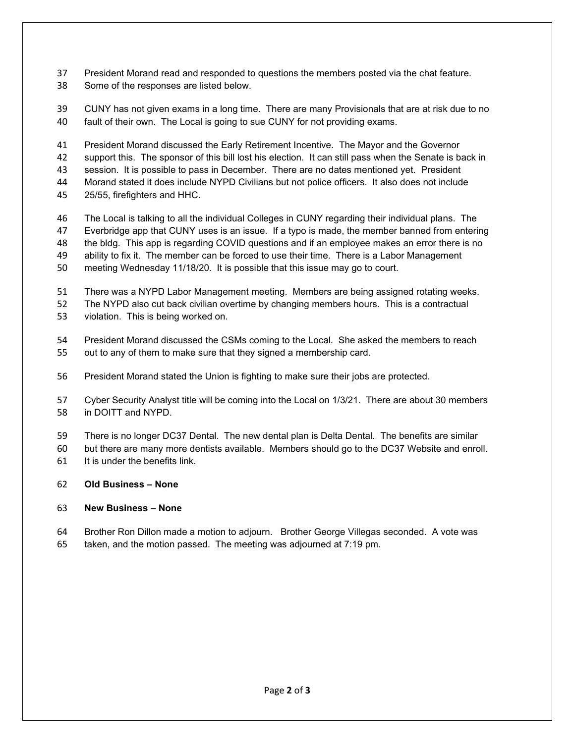- President Morand read and responded to questions the members posted via the chat feature.
- Some of the responses are listed below.
- CUNY has not given exams in a long time. There are many Provisionals that are at risk due to no fault of their own. The Local is going to sue CUNY for not providing exams.

 President Morand discussed the Early Retirement Incentive. The Mayor and the Governor support this. The sponsor of this bill lost his election. It can still pass when the Senate is back in session. It is possible to pass in December. There are no dates mentioned yet. President Morand stated it does include NYPD Civilians but not police officers. It also does not include 25/55, firefighters and HHC.

- The Local is talking to all the individual Colleges in CUNY regarding their individual plans. The Everbridge app that CUNY uses is an issue. If a typo is made, the member banned from entering the bldg. This app is regarding COVID questions and if an employee makes an error there is no ability to fix it. The member can be forced to use their time. There is a Labor Management meeting Wednesday 11/18/20. It is possible that this issue may go to court.
- There was a NYPD Labor Management meeting. Members are being assigned rotating weeks.
- The NYPD also cut back civilian overtime by changing members hours. This is a contractual
- violation. This is being worked on.
- President Morand discussed the CSMs coming to the Local. She asked the members to reach out to any of them to make sure that they signed a membership card.
- President Morand stated the Union is fighting to make sure their jobs are protected.
- Cyber Security Analyst title will be coming into the Local on 1/3/21. There are about 30 members in DOITT and NYPD.
- There is no longer DC37 Dental. The new dental plan is Delta Dental. The benefits are similar
- but there are many more dentists available. Members should go to the DC37 Website and enroll. It is under the benefits link.
- **Old Business – None**

## **New Business – None**

 Brother Ron Dillon made a motion to adjourn. Brother George Villegas seconded. A vote was taken, and the motion passed. The meeting was adjourned at 7:19 pm.